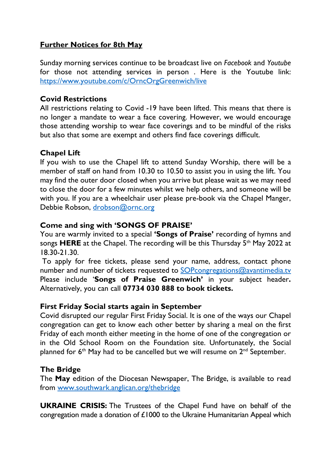## **Further Notices for 8th May**

Sunday morning services continue to be broadcast live on *Facebook* and *Youtube* for those not attending services in person . Here is the Youtube link: https://www.youtube.com/c/OrncOrgGreenwich/live

#### **Covid Restrictions**

All restrictions relating to Covid -19 have been lifted. This means that there is no longer a mandate to wear a face covering. However, we would encourage those attending worship to wear face coverings and to be mindful of the risks but also that some are exempt and others find face coverings difficult.

#### **Chapel Lift**

If you wish to use the Chapel lift to attend Sunday Worship, there will be a member of staff on hand from 10.30 to 10.50 to assist you in using the lift. You may find the outer door closed when you arrive but please wait as we may need to close the door for a few minutes whilst we help others, and someone will be with you. If you are a wheelchair user please pre-book via the Chapel Manger, Debbie Robson, drobson@ornc.org

### **Come and sing with 'SONGS OF PRAISE'**

You are warmly invited to a special **'Songs of Praise'** recording of hymns and songs HERE at the Chapel. The recording will be this Thursday 5<sup>th</sup> May 2022 at 18.30-21.30.

To apply for free tickets, please send your name, address, contact phone number and number of tickets requested to SOPcongregations@avantimedia.tv Please include '**Songs of Praise Greenwich'** in your subject header**.**  Alternatively, you can call **07734 030 888 to book tickets.**

#### **First Friday Social starts again in September**

Covid disrupted our regular First Friday Social. It is one of the ways our Chapel congregation can get to know each other better by sharing a meal on the first Friday of each month either meeting in the home of one of the congregation or in the Old School Room on the Foundation site. Unfortunately, the Social planned for  $6<sup>th</sup>$  May had to be cancelled but we will resume on  $2<sup>nd</sup>$  September.

#### **The Bridge**

The **May** edition of the Diocesan Newspaper, The Bridge, is available to read from www.southwark.anglican.org/thebridge

**UKRAINE CRISIS:** The Trustees of the Chapel Fund have on behalf of the congregation made a donation of £1000 to the Ukraine Humanitarian Appeal which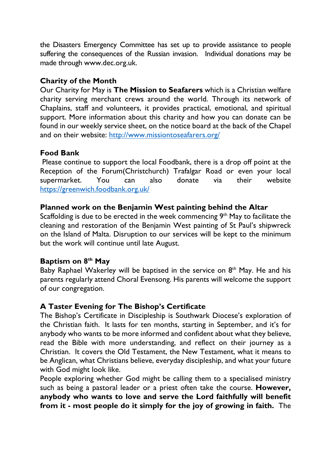the Disasters Emergency Committee has set up to provide assistance to people suffering the consequences of the Russian invasion. Individual donations may be made through www.dec.org.uk.

### **Charity of the Month**

Our Charity for May is **The Mission to Seafarers** which is a Christian welfare charity serving merchant crews around the world. Through its network of Chaplains, staff and volunteers, it provides practical, emotional, and spiritual support. More information about this charity and how you can donate can be found in our weekly service sheet, on the notice board at the back of the Chapel and on their website: http://www.missiontoseafarers.org/

#### **Food Bank**

Please continue to support the local Foodbank, there is a drop off point at the Reception of the Forum(Christchurch) Trafalgar Road or even your local supermarket. You can also donate via their website https://greenwich.foodbank.org.uk/

#### **Planned work on the Benjamin West painting behind the Altar**

Scaffolding is due to be erected in the week commencing  $9<sup>th</sup>$  May to facilitate the cleaning and restoration of the Benjamin West painting of St Paul's shipwreck on the Island of Malta. Disruption to our services will be kept to the minimum but the work will continue until late August.

## **Baptism on 8th May**

Baby Raphael Wakerley will be baptised in the service on  $8<sup>th</sup>$  May. He and his parents regularly attend Choral Evensong. His parents will welcome the support of our congregation.

#### **A Taster Evening for The Bishop's Certificate**

The Bishop's Certificate in Discipleship is Southwark Diocese's exploration of the Christian faith. It lasts for ten months, starting in September, and it's for anybody who wants to be more informed and confident about what they believe, read the Bible with more understanding, and reflect on their journey as a Christian. It covers the Old Testament, the New Testament, what it means to be Anglican, what Christians believe, everyday discipleship, and what your future with God might look like.

People exploring whether God might be calling them to a specialised ministry such as being a pastoral leader or a priest often take the course. **However, anybody who wants to love and serve the Lord faithfully will benefit from it - most people do it simply for the joy of growing in faith.** The